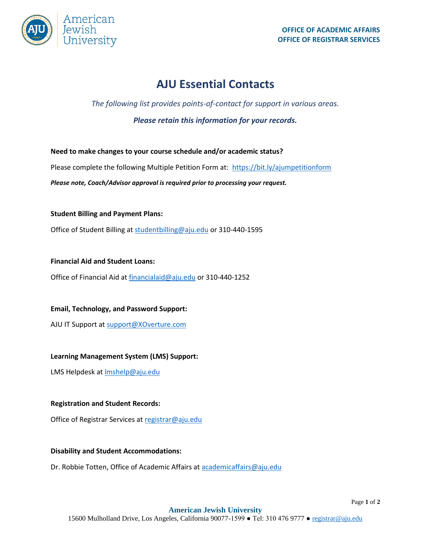

Page **1** of **2**

# **AJU Essential Contacts**

## *The following list provides points-of-contact for support in various areas.*

*Please retain this information for your records.* 

**Need to make changes to your course schedule and/or academic status?** Please complete the following Multiple Petition Form at: <https://bit.ly/ajumpetitionform> *Please note, Coach/Advisor approval is required prior to processing your request.* 

**Student Billing and Payment Plans:** 

Office of Student Billing a[t studentbilling@aju.edu](mailto:studentbilling@aju.edu) or 310-440-1595

**Financial Aid and Student Loans:**

Office of Financial Aid at [financialaid@aju.edu](mailto:financialaid@aju.edu) or 310-440-1252

**Email, Technology, and Password Support:**

AJU IT Support a[t support@XOverture.com](mailto:support@XOverture.com)

#### **Learning Management System (LMS) Support:**

LMS Helpdesk a[t lmshelp@aju.edu](mailto:lmshelp@aju.edu)

#### **Registration and Student Records:**

Office of Registrar Services a[t registrar@aju.edu](mailto:registrar@aju.edu)

#### **Disability and Student Accommodations:**

Dr. Robbie Totten, Office of Academic Affairs a[t academicaffairs@aju.edu](mailto:academicaffairs@aju.edu)